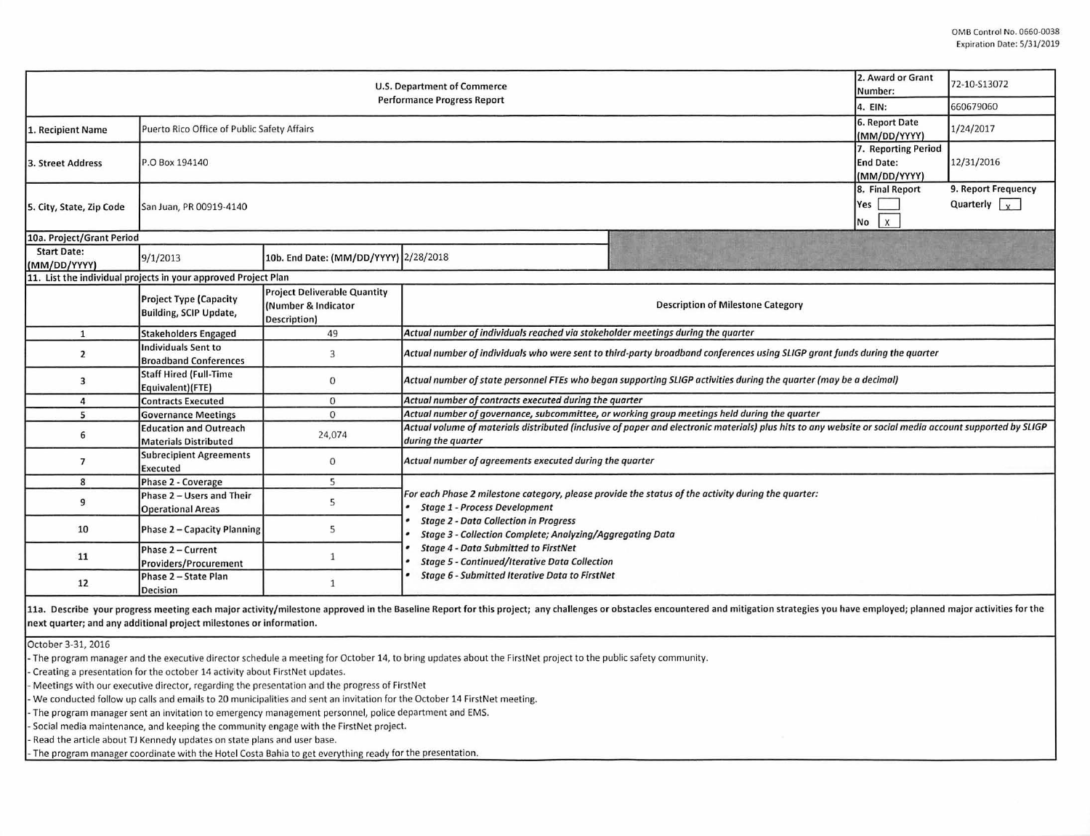| 2. Award or Grant<br><b>U.S. Department of Commerce</b><br><b>Performance Progress Report</b> |                                                                |                                                                            |                                                                                                                                                                                                                                                                                  |  | 72-10-S13072 |  |  |  |  |
|-----------------------------------------------------------------------------------------------|----------------------------------------------------------------|----------------------------------------------------------------------------|----------------------------------------------------------------------------------------------------------------------------------------------------------------------------------------------------------------------------------------------------------------------------------|--|--------------|--|--|--|--|
|                                                                                               |                                                                |                                                                            |                                                                                                                                                                                                                                                                                  |  | 660679060    |  |  |  |  |
| 1. Recipient Name                                                                             | Puerto Rico Office of Public Safety Affairs                    | 6. Report Date<br>(MM/DD/YYYY)                                             | 1/24/2017                                                                                                                                                                                                                                                                        |  |              |  |  |  |  |
| 3. Street Address                                                                             | P.O Box 194140                                                 | 7. Reporting Period<br><b>End Date:</b><br>(MM/DD/YYYY)                    | 12/31/2016                                                                                                                                                                                                                                                                       |  |              |  |  |  |  |
| 5. City, State, Zip Code                                                                      | San Juan, PR 00919-4140                                        | 8. Final Report<br>Yes<br>$1 \times$<br>No                                 | 9. Report Frequency<br>Quarterly $\sqrt{x}$                                                                                                                                                                                                                                      |  |              |  |  |  |  |
| 10a. Project/Grant Period                                                                     |                                                                |                                                                            |                                                                                                                                                                                                                                                                                  |  |              |  |  |  |  |
| <b>Start Date:</b><br>(MM/DD/YYYY)                                                            | 9/1/2013                                                       | 10b. End Date: (MM/DD/YYYY) 2/28/2018                                      |                                                                                                                                                                                                                                                                                  |  |              |  |  |  |  |
|                                                                                               | 11. List the individual projects in your approved Project Plan |                                                                            |                                                                                                                                                                                                                                                                                  |  |              |  |  |  |  |
|                                                                                               | <b>Project Type (Capacity</b><br><b>Building, SCIP Update,</b> | <b>Project Deliverable Quantity</b><br>(Number & Indicator<br>Description) | <b>Description of Milestone Category</b>                                                                                                                                                                                                                                         |  |              |  |  |  |  |
| $\mathbf{1}$                                                                                  | <b>Stakeholders Engaged</b>                                    | 49                                                                         | Actual number of individuals reached via stakeholder meetings during the quarter                                                                                                                                                                                                 |  |              |  |  |  |  |
| $\overline{2}$                                                                                | <b>Individuals Sent to</b><br><b>Broadband Conferences</b>     | 3                                                                          | Actual number of individuals who were sent to third-party broadband conferences using SLIGP grant funds during the quarter                                                                                                                                                       |  |              |  |  |  |  |
| 3                                                                                             | <b>Staff Hired (Full-Time</b><br>Equivalent)(FTE)              | $\mathbf{0}$                                                               | Actual number of state personnel FTEs who began supporting SLIGP activities during the quarter (may be a decimal)                                                                                                                                                                |  |              |  |  |  |  |
| 4                                                                                             | <b>Contracts Executed</b>                                      | $\mathbf 0$                                                                | Actual number of contracts executed during the quarter                                                                                                                                                                                                                           |  |              |  |  |  |  |
| 5                                                                                             | <b>Governance Meetings</b>                                     | $\Omega$                                                                   | Actual number of governance, subcommittee, or working group meetings held during the quarter                                                                                                                                                                                     |  |              |  |  |  |  |
| 6                                                                                             | <b>Education and Outreach</b><br><b>Materials Distributed</b>  | 24,074                                                                     | Actual volume of materials distributed (inclusive of paper and electronic materials) plus hits to any website or social media account supported by SLIGP<br>during the quarter                                                                                                   |  |              |  |  |  |  |
| $\overline{7}$                                                                                | <b>Subrecipient Agreements</b><br><b>Executed</b>              | $\mathbf{0}$                                                               | Actual number of agreements executed during the quarter                                                                                                                                                                                                                          |  |              |  |  |  |  |
| 8                                                                                             | Phase 2 - Coverage                                             | 5                                                                          |                                                                                                                                                                                                                                                                                  |  |              |  |  |  |  |
| 9                                                                                             | Phase 2 - Users and Their<br><b>Operational Areas</b>          | 5                                                                          | For each Phase 2 milestone category, please provide the status of the activity during the quarter:<br><b>Stage 1 - Process Development</b>                                                                                                                                       |  |              |  |  |  |  |
| 10                                                                                            | Phase 2 - Capacity Planning                                    | 5                                                                          | <b>Stage 2 - Data Collection in Progress</b><br><b>Stage 3 - Collection Complete; Analyzing/Aggregating Data</b><br><b>Stage 4 - Data Submitted to FirstNet</b><br><b>Stage 5 - Continued/Iterative Data Collection</b><br><b>Stage 6 - Submitted Iterative Data to FirstNet</b> |  |              |  |  |  |  |
| 11                                                                                            | Phase 2 - Current<br><b>Providers/Procurement</b>              | $\mathbf{1}$                                                               |                                                                                                                                                                                                                                                                                  |  |              |  |  |  |  |
| 12                                                                                            | Phase 2 - State Plan<br>Decision                               | $\mathbf{1}$                                                               |                                                                                                                                                                                                                                                                                  |  |              |  |  |  |  |

11a. Describe your progress meeting each major activity/milestone approved in the Baseline Report for this project; any challenges or obstacles encountered and mitigation strategies you have employed; planned major activit next quarter; and any additional project milestones or information.

October 3-31, 2016

- The program manager and the executive director schedule a meeting for October 14, to bring updates about the FirstNet project to the public safety community.

- Creating a presentation for the october 14 activity about FirstNet updates.

- Meetings with our executive director, regarding the presentation and the progress of FirstNet

- We conducted follow up calls and emails to 20 municipalities and sent an invitation for the October 14 FirstNet meeting.

- The program manager sent an invitation to emergency management personnel, police department and EMS.

- Social media maintenance, and keeping the community engage with the FirstNet project.

- Read the article about TJ Kennedy updates on state plans and user base.

- The program manager coordinate with the Hotel Costa Bahia to get everything ready for the presentation.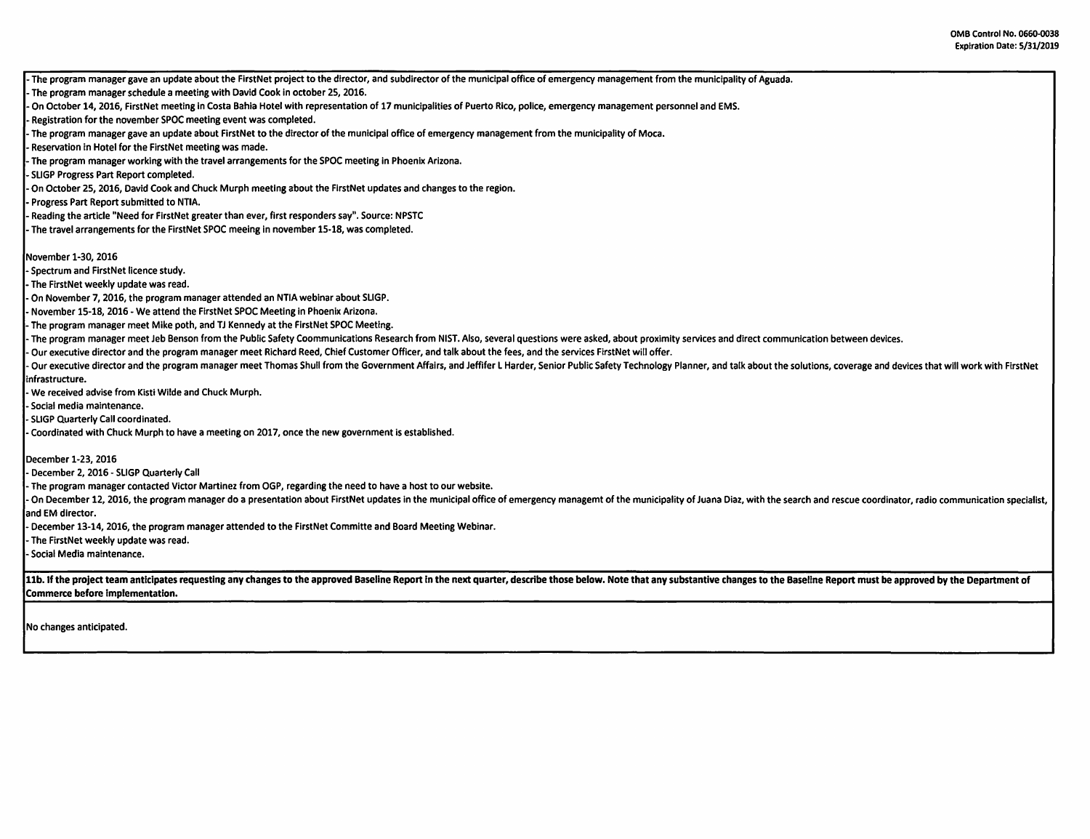- The program manager gave an update about the FirstNet project to the director, and subdirector of the municipal office of emergency management from the municipality of Aguada. - The program manager schedule a meeting with David Cook in october 25, 2016. On October 14, 2016, FirstNet meeting in Costa Bahia Hotel with representation of 17 municipalities of Puerto Rico, police, emergency management personnel and EMS. - Registration for the november SPOC meeting event was completed. The program manager gave an update about FirstNet to the director of the municipal office of emergency management from the municipality of Moca. Reservation in Hotel for the FirstNet meeting was made. The program manager working with the travel arrangements for the SPOC meeting in Phoenix Arizona. - SLIGP Progress Part Report completed. - On October 25, 2016, David Cook and Chuck Murph meeting about the FirstNet updates and changes to the region. - Progress Part Report submitted to NTIA. - Reading the article "Need for FirstNet greater than ever, first responders say". Source: NPSTC The travel arrangements for the FirstNet SPOC meeing in november 15-18, was completed. November 1-30, 2016 - Spectrum and FirstNet licence study. - The FirstNet weekly update was read. On November 7, 2016, the program manager attended an NTIA webinar about SLIGP. November 15-18, 2016 - We attend the FirstNet SPOC Meeting in Phoenix Arizona. The program manager meet Mike poth, and TJ Kennedy at the FirstNet SPOC Meeting. The program manager meet Jeb Benson from the Public Safety Coommunications Research from NIST. Also, several questions were asked, about proximity services and direct communication between devices. - Our executive director and the program manager meet Richard Reed, Chief Customer Officer, and talk about the fees, and the services FirstNet will offer. Our executive director and the program manager meet Thomas Shull from the Government Affairs, and Jeffifer L Harder, Senior Public Safety Technology Planner, and talk about the solutions, coverage and devices that will wor infrastructure. - We received advise from Kisti Wilde and Chuck Murph. - Social media maintenance. - SLIGP Quarterly Call coordinated. Coordinated with Chuck Murph to have a meeting on 2017, once the new government is established. December 1-23, 2016 - December 2, 2016 - SLIGP Quarterly Call - The program manager contacted Victor Martinez from OGP, regarding the need to have a host to our website. On December 12, 2016, the program manager do a presentation about FirstNet updates in the municipal office of emergency managemt of the municipality of Juana Diaz, with the search and rescue coordinator, radio communicatio and EM director. December 13-14, 2016, the program manager attended to the FirstNet Committe and Board Meeting Webinar. - The FirstNet weekly update was read. - Social Media maintenance. 11b. If the project team anticipates requesting any changes to the approved Baseline Report in the next quarter, describe those below. Note that any substantive changes to the Baseline Report must be approved by the Depart Commerce before implementation.

No changes anticipated.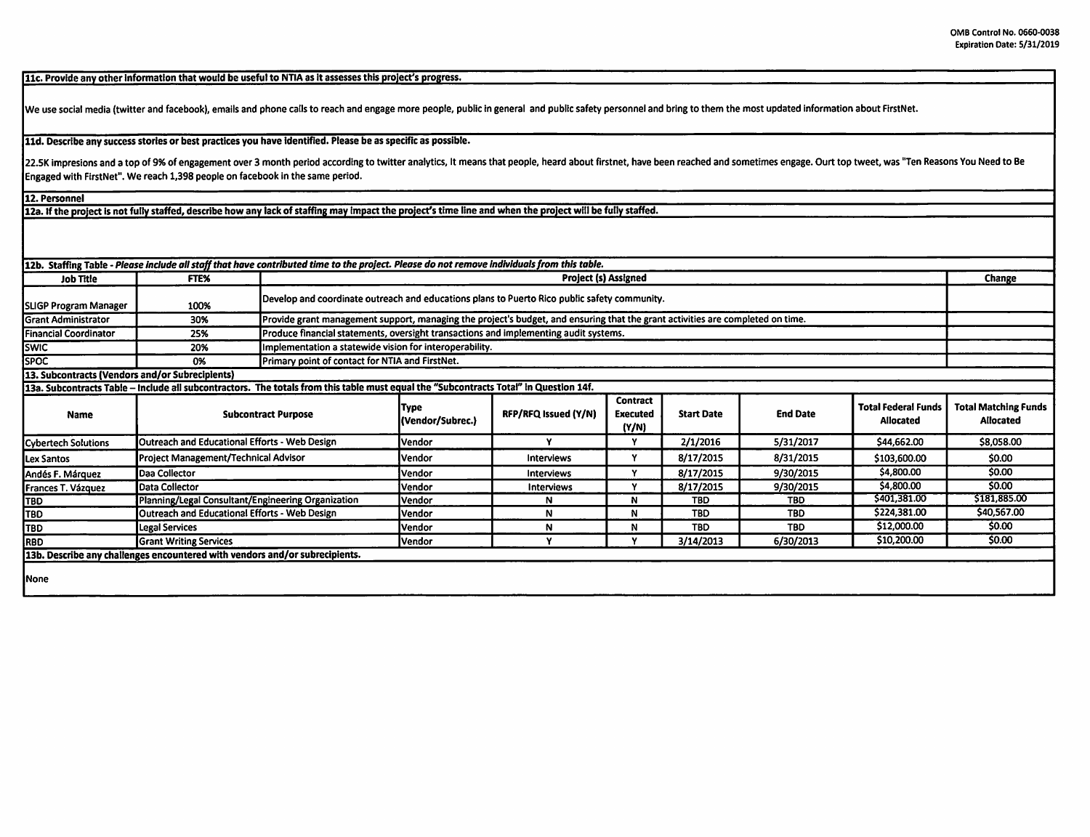11c. Provide any other information that would be useful to NTIA as it assesses this project's progress.

We use social media (twitter and facebook), emails and phone calls to reach and engage more people, public in general and public safety personnel and bring to them the most updated information about FirstNet.

11d. Describe any success stories or best practices you have identified. Please be as specific as possible.

22.5K impresions and a top of 9% of engagement over 3 month period according to twitter analytics, It means that people, heard about firstnet, have been reached and sometimes engage. Ourt top tweet, was "Ten Reasons You Ne Engaged with FirstNet". We reach 1,398 people on facebook in the same period.

12. Personnel

12a. If the project is not fully staffed, describe how any lack of staffing may impact the project's time line and when the project will be fully staffed.

| 112b. Staffing Table - Please include all staff that have contributed time to the project. Please do not remove individuals from this table. |                                                    |                                                                                                                                |                          |                      |                                      |                   |                 |                                         |                                          |  |
|----------------------------------------------------------------------------------------------------------------------------------------------|----------------------------------------------------|--------------------------------------------------------------------------------------------------------------------------------|--------------------------|----------------------|--------------------------------------|-------------------|-----------------|-----------------------------------------|------------------------------------------|--|
| <b>Job Title</b>                                                                                                                             | <b>FTEX</b>                                        | <b>Project (s) Assigned</b>                                                                                                    |                          |                      |                                      |                   |                 |                                         | Change                                   |  |
| SLIGP Program Manager                                                                                                                        | 100%                                               | Develop and coordinate outreach and educations plans to Puerto Rico public safety community.                                   |                          |                      |                                      |                   |                 |                                         |                                          |  |
| lGrant Administrator                                                                                                                         | 30%                                                | Provide grant management support, managing the project's budget, and ensuring that the grant activities are completed on time. |                          |                      |                                      |                   |                 |                                         |                                          |  |
| <b>IFinancial Coordinator</b>                                                                                                                | 25%                                                | Produce financial statements, oversight transactions and implementing audit systems.                                           |                          |                      |                                      |                   |                 |                                         |                                          |  |
| <b>SWIC</b>                                                                                                                                  | 20%                                                | Implementation a statewide vision for interoperability.                                                                        |                          |                      |                                      |                   |                 |                                         |                                          |  |
| <b>ISPOC</b>                                                                                                                                 | 0%                                                 | Primary point of contact for NTIA and FirstNet.                                                                                |                          |                      |                                      |                   |                 |                                         |                                          |  |
| [13. Subcontracts (Vendors and/or Subrecipients)                                                                                             |                                                    |                                                                                                                                |                          |                      |                                      |                   |                 |                                         |                                          |  |
| 13a. Subcontracts Table – Include all subcontractors. The totals from this table must equal the "Subcontracts Total" in Question 14f.        |                                                    |                                                                                                                                |                          |                      |                                      |                   |                 |                                         |                                          |  |
| Name                                                                                                                                         | <b>Subcontract Purpose</b>                         |                                                                                                                                | Type<br>(Vendor/Subrec.) | RFP/RFQ Issued (Y/N) | <b>Contract</b><br>Executed<br>(Y/N) | <b>Start Date</b> | <b>End Date</b> | <b>Total Federal Funds</b><br>Allocated | <b>Total Matching Funds</b><br>Allocated |  |
| Cybertech Solutions                                                                                                                          | Outreach and Educational Efforts - Web Design      |                                                                                                                                | Vendor                   |                      |                                      | 2/1/2016          | 5/31/2017       | \$44,662.00                             | \$8,058.00                               |  |
| Lex Santos                                                                                                                                   | Project Management/Technical Advisor               |                                                                                                                                | Vendor                   | Interviews           |                                      | 8/17/2015         | 8/31/2015       | \$103,600.00                            | \$0.00                                   |  |
| Andés F. Márquez                                                                                                                             | Daa Collector                                      |                                                                                                                                | <b>Vendor</b>            | Interviews           |                                      | 8/17/2015         | 9/30/2015       | \$4,800.00                              | \$0.00                                   |  |
| Frances T. Vázquez                                                                                                                           | Data Collector                                     |                                                                                                                                | Vendor                   | Interviews           |                                      | 8/17/2015         | 9/30/2015       | \$4,800.00                              | \$0.00                                   |  |
| <b>TBD</b>                                                                                                                                   | Planning/Legal Consultant/Engineering Organization |                                                                                                                                | <b>IVendor</b>           | N                    | Ν                                    | TBD.              | <b>TBD</b>      | \$401,381.00                            | \$181,885.00                             |  |
| ITBD                                                                                                                                         | Outreach and Educational Efforts - Web Design      |                                                                                                                                | <b>Vendor</b>            | N                    | Ν                                    | <b>TBD</b>        | <b>TBD</b>      | \$224,381.00                            | \$40,567.00                              |  |

**TBD** Legal Services Vendor **N** N **TBD** TBD \$12,000.00 \$0.00

**RBD** Grant Writing Services Vendor y y 3/14/2013 6/30/2013 \$10,200.00 \$0.00 **13b. Describe any challenges encountered with vendors and/or subrecipients.** 

None